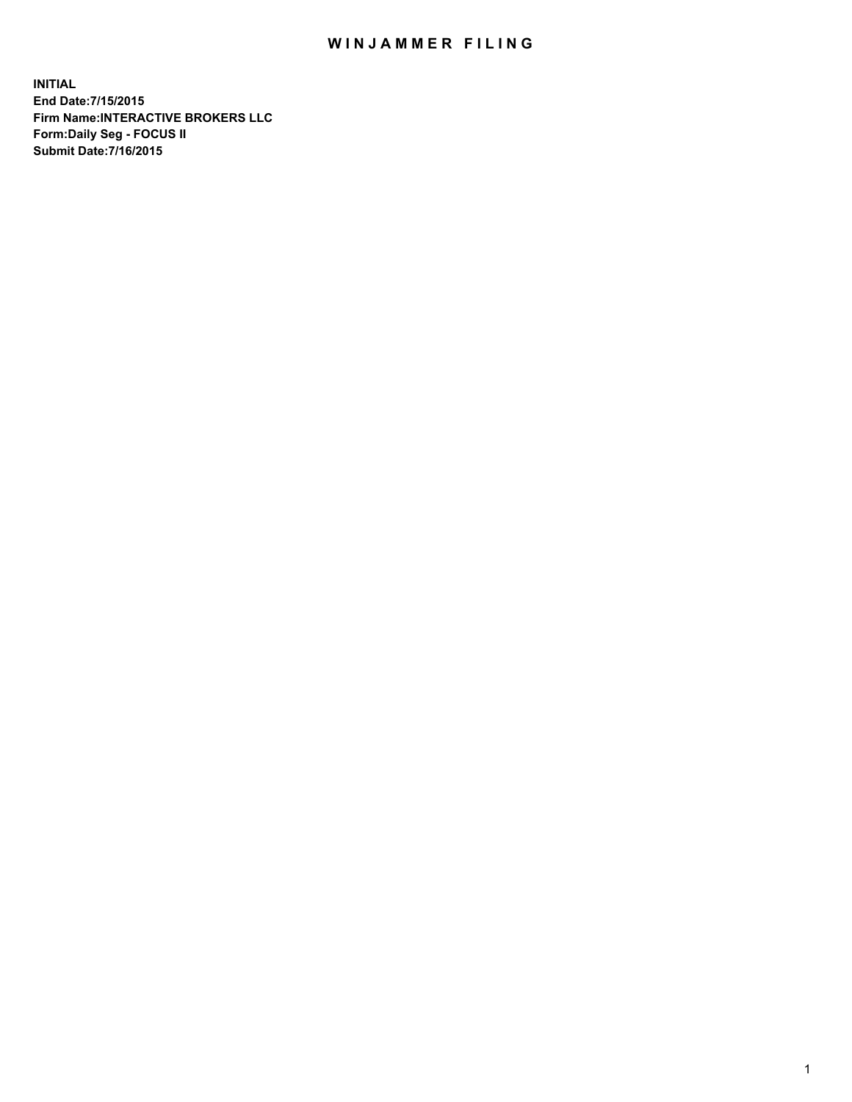## WIN JAMMER FILING

**INITIAL End Date:7/15/2015 Firm Name:INTERACTIVE BROKERS LLC Form:Daily Seg - FOCUS II Submit Date:7/16/2015**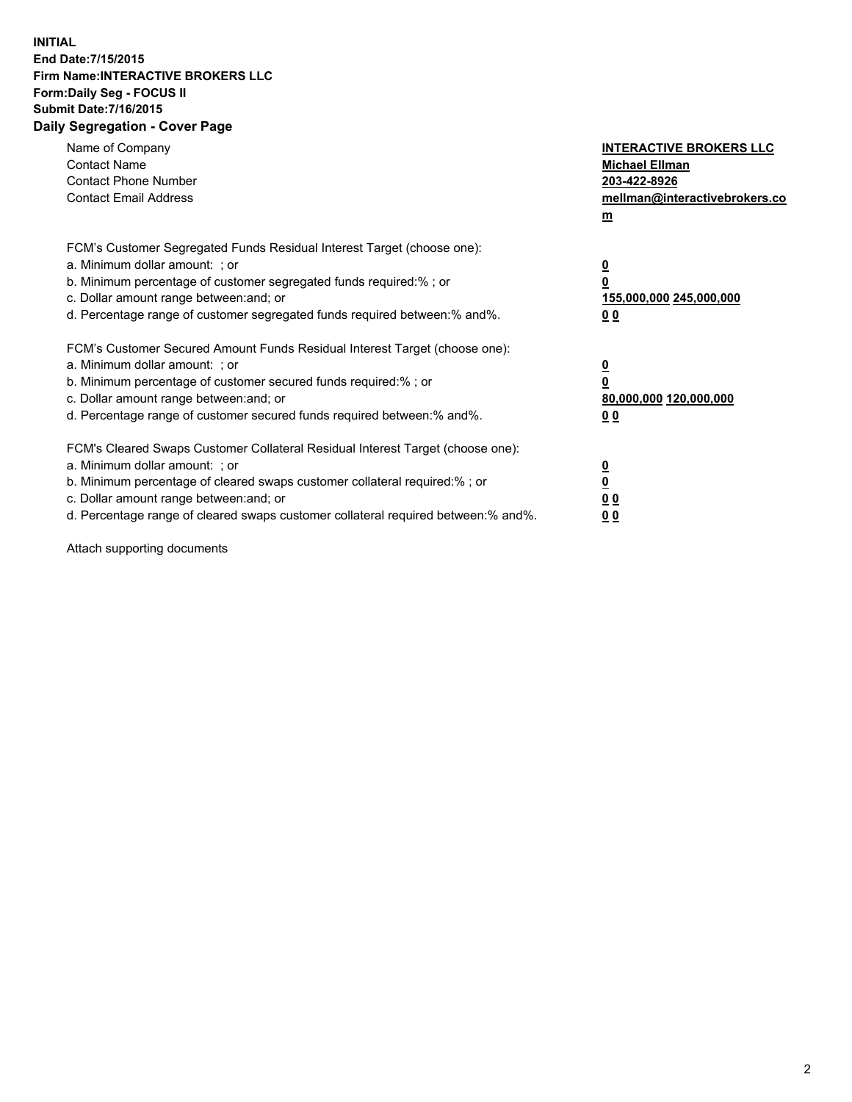## **INITIAL End Date:7/15/2015 Firm Name:INTERACTIVE BROKERS LLC Form:Daily Seg - FOCUS II Submit Date:7/16/2015 Daily Segregation - Cover Page**

| Name of Company<br><b>Contact Name</b><br><b>Contact Phone Number</b><br><b>Contact Email Address</b>                                                                                                                                                                                                                          | <b>INTERACTIVE BROKERS LLC</b><br><b>Michael Ellman</b><br>203-422-8926<br>mellman@interactivebrokers.co<br>$m$ |
|--------------------------------------------------------------------------------------------------------------------------------------------------------------------------------------------------------------------------------------------------------------------------------------------------------------------------------|-----------------------------------------------------------------------------------------------------------------|
| FCM's Customer Segregated Funds Residual Interest Target (choose one):<br>a. Minimum dollar amount: ; or<br>b. Minimum percentage of customer segregated funds required:% ; or<br>c. Dollar amount range between: and; or<br>d. Percentage range of customer segregated funds required between: % and %.                       | $\overline{\mathbf{0}}$<br>0<br>155,000,000 245,000,000<br>00                                                   |
| FCM's Customer Secured Amount Funds Residual Interest Target (choose one):<br>a. Minimum dollar amount: ; or<br>b. Minimum percentage of customer secured funds required:%; or<br>c. Dollar amount range between: and; or<br>d. Percentage range of customer secured funds required between: % and %.                          | $\overline{\mathbf{0}}$<br>0<br>80,000,000 120,000,000<br>0 <sub>0</sub>                                        |
| FCM's Cleared Swaps Customer Collateral Residual Interest Target (choose one):<br>a. Minimum dollar amount: ; or<br>b. Minimum percentage of cleared swaps customer collateral required:% ; or<br>c. Dollar amount range between: and; or<br>d. Percentage range of cleared swaps customer collateral required between:% and%. | $\overline{\mathbf{0}}$<br>$\underline{\mathbf{0}}$<br>0 <sub>0</sub><br>0 <sub>0</sub>                         |

Attach supporting documents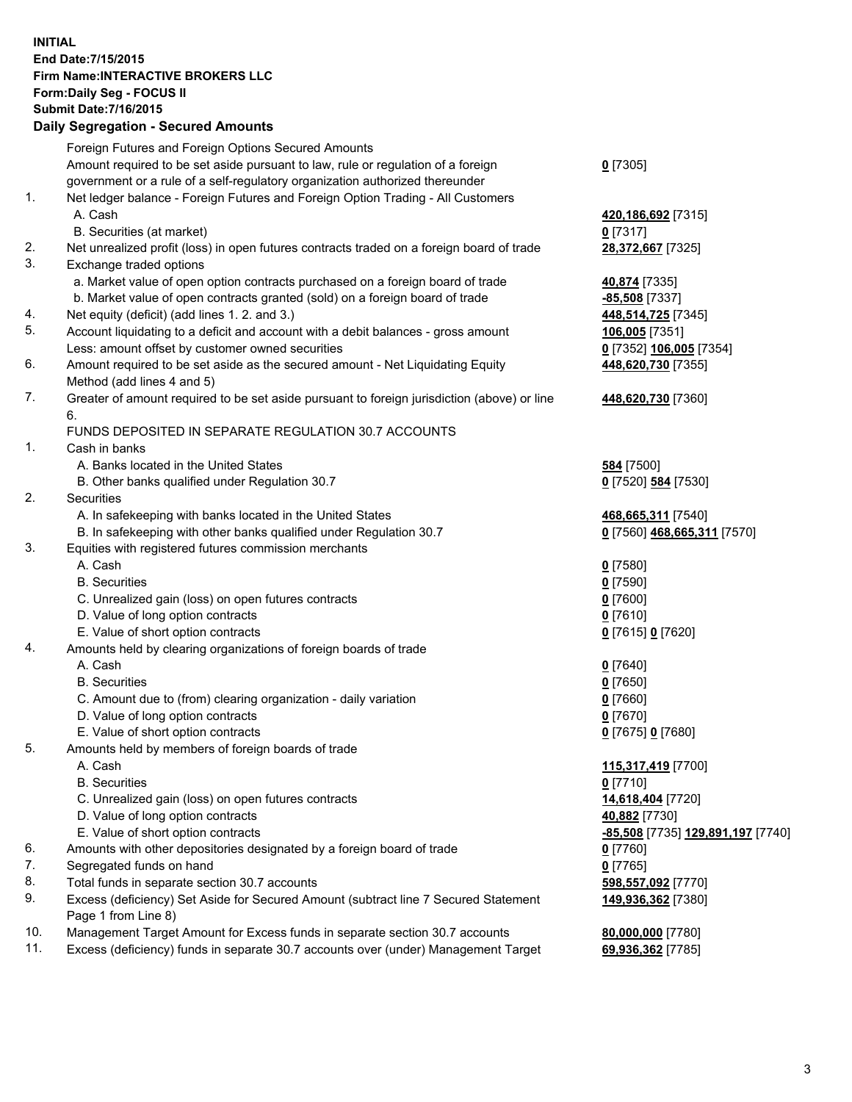## **INITIAL End Date:7/15/2015 Firm Name:INTERACTIVE BROKERS LLC Form:Daily Seg - FOCUS II Submit Date:7/16/2015 Daily Segregation - Secured Amounts**

|     | Daily Jegiegation - Jeculed Aniounts                                                                       |                                   |
|-----|------------------------------------------------------------------------------------------------------------|-----------------------------------|
|     | Foreign Futures and Foreign Options Secured Amounts                                                        |                                   |
|     | Amount required to be set aside pursuant to law, rule or regulation of a foreign                           | $0$ [7305]                        |
|     | government or a rule of a self-regulatory organization authorized thereunder                               |                                   |
| 1.  | Net ledger balance - Foreign Futures and Foreign Option Trading - All Customers                            |                                   |
|     | A. Cash                                                                                                    | 420,186,692 [7315]                |
|     | B. Securities (at market)                                                                                  | $0$ [7317]                        |
| 2.  | Net unrealized profit (loss) in open futures contracts traded on a foreign board of trade                  | 28,372,667 [7325]                 |
| 3.  | Exchange traded options                                                                                    |                                   |
|     | a. Market value of open option contracts purchased on a foreign board of trade                             | 40,874 [7335]                     |
|     | b. Market value of open contracts granted (sold) on a foreign board of trade                               | -85,508 [7337]                    |
| 4.  | Net equity (deficit) (add lines 1.2. and 3.)                                                               | 448,514,725 [7345]                |
| 5.  | Account liquidating to a deficit and account with a debit balances - gross amount                          | 106,005 [7351]                    |
|     | Less: amount offset by customer owned securities                                                           | 0 [7352] 106,005 [7354]           |
| 6.  | Amount required to be set aside as the secured amount - Net Liquidating Equity                             | 448,620,730 [7355]                |
|     | Method (add lines 4 and 5)                                                                                 |                                   |
| 7.  | Greater of amount required to be set aside pursuant to foreign jurisdiction (above) or line                | 448,620,730 [7360]                |
|     | 6.                                                                                                         |                                   |
|     | FUNDS DEPOSITED IN SEPARATE REGULATION 30.7 ACCOUNTS                                                       |                                   |
| 1.  | Cash in banks                                                                                              |                                   |
|     | A. Banks located in the United States                                                                      | <b>584</b> [7500]                 |
|     | B. Other banks qualified under Regulation 30.7                                                             | 0 [7520] 584 [7530]               |
| 2.  | Securities                                                                                                 |                                   |
|     | A. In safekeeping with banks located in the United States                                                  | 468,665,311 [7540]                |
|     | B. In safekeeping with other banks qualified under Regulation 30.7                                         | 0 [7560] 468,665,311 [7570]       |
| 3.  | Equities with registered futures commission merchants                                                      |                                   |
|     | A. Cash                                                                                                    | $0$ [7580]                        |
|     | <b>B.</b> Securities                                                                                       | $0$ [7590]                        |
|     | C. Unrealized gain (loss) on open futures contracts                                                        | $0$ [7600]                        |
|     | D. Value of long option contracts                                                                          | $0$ [7610]                        |
|     | E. Value of short option contracts                                                                         | 0 [7615] 0 [7620]                 |
| 4.  | Amounts held by clearing organizations of foreign boards of trade                                          |                                   |
|     | A. Cash                                                                                                    | $0$ [7640]                        |
|     | <b>B.</b> Securities                                                                                       | $0$ [7650]                        |
|     | C. Amount due to (from) clearing organization - daily variation                                            | $0$ [7660]                        |
|     | D. Value of long option contracts                                                                          | $0$ [7670]                        |
|     | E. Value of short option contracts                                                                         | 0 [7675] 0 [7680]                 |
| 5.  | Amounts held by members of foreign boards of trade                                                         |                                   |
|     | A. Cash                                                                                                    | 115,317,419 [7700]                |
|     | <b>B.</b> Securities                                                                                       | $0$ [7710]                        |
|     | C. Unrealized gain (loss) on open futures contracts                                                        | 14,618,404 [7720]                 |
|     | D. Value of long option contracts                                                                          | 40,882 [7730]                     |
|     | E. Value of short option contracts                                                                         | -85,508 [7735] 129,891,197 [7740] |
| 6.  | Amounts with other depositories designated by a foreign board of trade                                     | $0$ [7760]                        |
| 7.  | Segregated funds on hand                                                                                   | $0$ [7765]                        |
| 8.  | Total funds in separate section 30.7 accounts                                                              | 598,557,092 [7770]                |
| 9.  | Excess (deficiency) Set Aside for Secured Amount (subtract line 7 Secured Statement<br>Page 1 from Line 8) | 149,936,362 [7380]                |
| 10. | Management Target Amount for Excess funds in separate section 30.7 accounts                                | 80,000,000 [7780]                 |
| 11. | Excess (deficiency) funds in separate 30.7 accounts over (under) Management Target                         | 69,936,362 [7785]                 |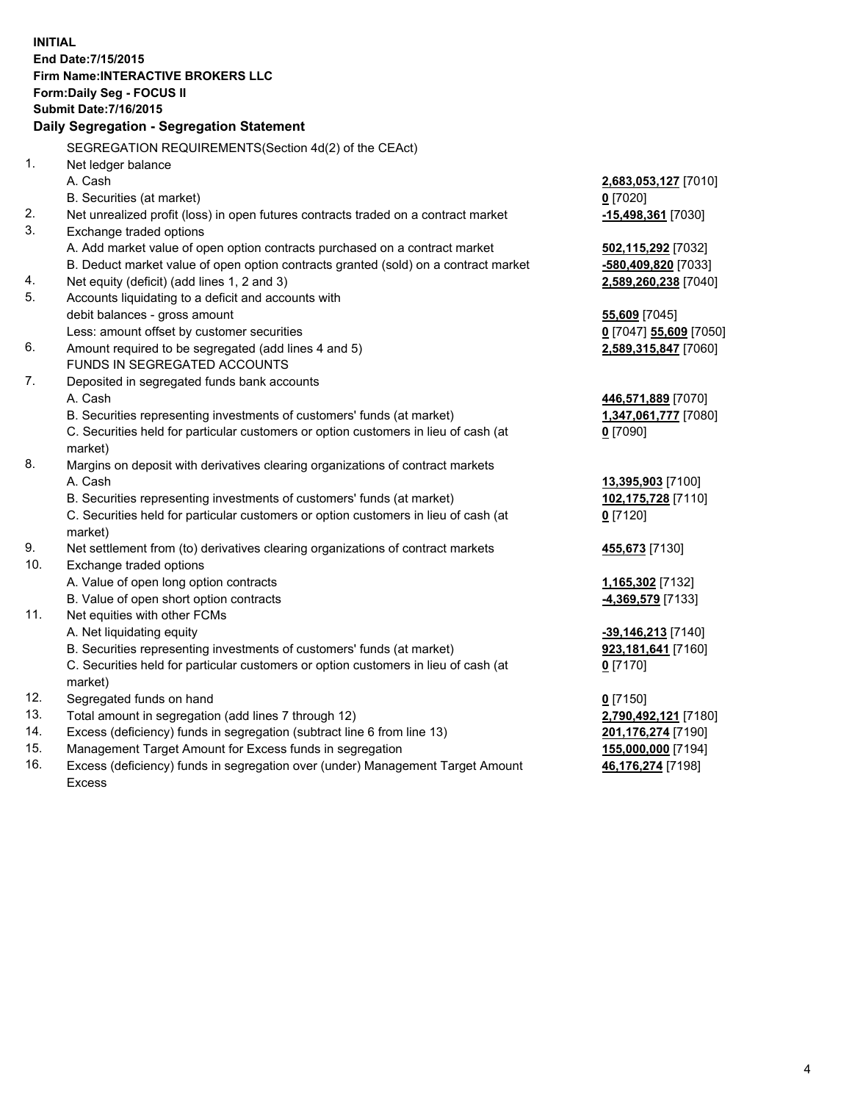**INITIAL End Date:7/15/2015 Firm Name:INTERACTIVE BROKERS LLC Form:Daily Seg - FOCUS II Submit Date:7/16/2015 Daily Segregation - Segregation Statement** SEGREGATION REQUIREMENTS(Section 4d(2) of the CEAct) 1. Net ledger balance A. Cash **2,683,053,127** [7010] B. Securities (at market) **0** [7020] 2. Net unrealized profit (loss) in open futures contracts traded on a contract market **-15,498,361** [7030] 3. Exchange traded options A. Add market value of open option contracts purchased on a contract market **502,115,292** [7032] B. Deduct market value of open option contracts granted (sold) on a contract market **-580,409,820** [7033] 4. Net equity (deficit) (add lines 1, 2 and 3) **2,589,260,238** [7040] 5. Accounts liquidating to a deficit and accounts with debit balances - gross amount **55,609** [7045] Less: amount offset by customer securities **0** [7047] **55,609** [7050] 6. Amount required to be segregated (add lines 4 and 5) **2,589,315,847** [7060] FUNDS IN SEGREGATED ACCOUNTS 7. Deposited in segregated funds bank accounts A. Cash **446,571,889** [7070] B. Securities representing investments of customers' funds (at market) **1,347,061,777** [7080] C. Securities held for particular customers or option customers in lieu of cash (at market) **0** [7090] 8. Margins on deposit with derivatives clearing organizations of contract markets A. Cash **13,395,903** [7100] B. Securities representing investments of customers' funds (at market) **102,175,728** [7110] C. Securities held for particular customers or option customers in lieu of cash (at market) **0** [7120] 9. Net settlement from (to) derivatives clearing organizations of contract markets **455,673** [7130] 10. Exchange traded options A. Value of open long option contracts **1,165,302** [7132] B. Value of open short option contracts **-4,369,579** [7133] 11. Net equities with other FCMs A. Net liquidating equity **-39,146,213** [7140] B. Securities representing investments of customers' funds (at market) **923,181,641** [7160] C. Securities held for particular customers or option customers in lieu of cash (at market) **0** [7170] 12. Segregated funds on hand **0** [7150] 13. Total amount in segregation (add lines 7 through 12) **2,790,492,121** [7180] 14. Excess (deficiency) funds in segregation (subtract line 6 from line 13) **201,176,274** [7190] 15. Management Target Amount for Excess funds in segregation **155,000,000** [7194]

16. Excess (deficiency) funds in segregation over (under) Management Target Amount Excess

**46,176,274** [7198]